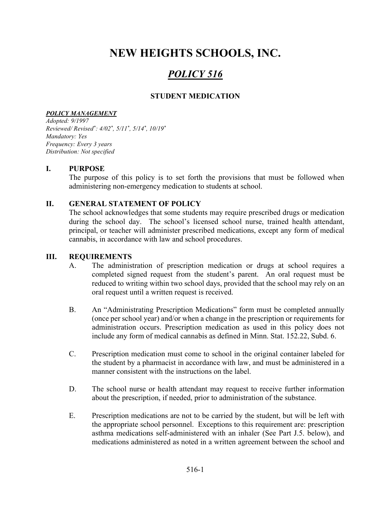# NEW HEIGHTS SCHOOLS, INC.

# POLICY 516

# STUDENT MEDICATION

#### POLICY MANAGEMENT

Adopted: 9/1997 Reviewed/ Revised\* : 4/02\* , 5/11\* , 5/14\* , 10/19\* Mandatory: Yes Frequency: Every 3 years Distribution: Not specified

## I. PURPOSE

The purpose of this policy is to set forth the provisions that must be followed when administering non-emergency medication to students at school.

## II. GENERAL STATEMENT OF POLICY

The school acknowledges that some students may require prescribed drugs or medication during the school day. The school's licensed school nurse, trained health attendant, principal, or teacher will administer prescribed medications, except any form of medical cannabis, in accordance with law and school procedures.

#### III. REQUIREMENTS

- A. The administration of prescription medication or drugs at school requires a completed signed request from the student's parent. An oral request must be reduced to writing within two school days, provided that the school may rely on an oral request until a written request is received.
- B. An "Administrating Prescription Medications" form must be completed annually (once per school year) and/or when a change in the prescription or requirements for administration occurs. Prescription medication as used in this policy does not include any form of medical cannabis as defined in Minn. Stat. 152.22, Subd. 6.
- C. Prescription medication must come to school in the original container labeled for the student by a pharmacist in accordance with law, and must be administered in a manner consistent with the instructions on the label.
- D. The school nurse or health attendant may request to receive further information about the prescription, if needed, prior to administration of the substance.
- E. Prescription medications are not to be carried by the student, but will be left with the appropriate school personnel. Exceptions to this requirement are: prescription asthma medications self-administered with an inhaler (See Part J.5. below), and medications administered as noted in a written agreement between the school and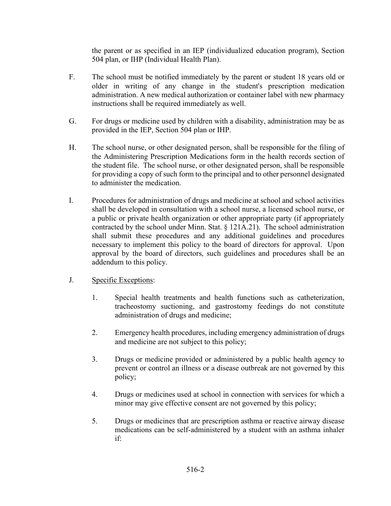the parent or as specified in an IEP (individualized education program), Section 504 plan, or IHP (Individual Health Plan).

- F. The school must be notified immediately by the parent or student 18 years old or older in writing of any change in the student's prescription medication administration. A new medical authorization or container label with new pharmacy instructions shall be required immediately as well.
- G. For drugs or medicine used by children with a disability, administration may be as provided in the IEP, Section 504 plan or IHP.
- H. The school nurse, or other designated person, shall be responsible for the filing of the Administering Prescription Medications form in the health records section of the student file. The school nurse, or other designated person, shall be responsible for providing a copy of such form to the principal and to other personnel designated to administer the medication.
- I. Procedures for administration of drugs and medicine at school and school activities shall be developed in consultation with a school nurse, a licensed school nurse, or a public or private health organization or other appropriate party (if appropriately contracted by the school under Minn. Stat.  $\S$  121A.21). The school administration shall submit these procedures and any additional guidelines and procedures necessary to implement this policy to the board of directors for approval. Upon approval by the board of directors, such guidelines and procedures shall be an addendum to this policy.
- J. Specific Exceptions:
	- 1. Special health treatments and health functions such as catheterization, tracheostomy suctioning, and gastrostomy feedings do not constitute administration of drugs and medicine;
	- 2. Emergency health procedures, including emergency administration of drugs and medicine are not subject to this policy;
	- 3. Drugs or medicine provided or administered by a public health agency to prevent or control an illness or a disease outbreak are not governed by this policy;
	- 4. Drugs or medicines used at school in connection with services for which a minor may give effective consent are not governed by this policy;
	- 5. Drugs or medicines that are prescription asthma or reactive airway disease medications can be self-administered by a student with an asthma inhaler if: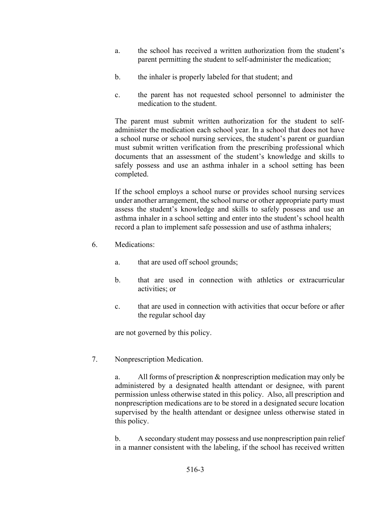- a. the school has received a written authorization from the student's parent permitting the student to self-administer the medication;
- b. the inhaler is properly labeled for that student; and
- c. the parent has not requested school personnel to administer the medication to the student.

 The parent must submit written authorization for the student to selfadminister the medication each school year. In a school that does not have a school nurse or school nursing services, the student's parent or guardian must submit written verification from the prescribing professional which documents that an assessment of the student's knowledge and skills to safely possess and use an asthma inhaler in a school setting has been completed.

 If the school employs a school nurse or provides school nursing services under another arrangement, the school nurse or other appropriate party must assess the student's knowledge and skills to safely possess and use an asthma inhaler in a school setting and enter into the student's school health record a plan to implement safe possession and use of asthma inhalers;

- 6. Medications:
	- a. that are used off school grounds;
	- b. that are used in connection with athletics or extracurricular activities; or
	- c. that are used in connection with activities that occur before or after the regular school day

are not governed by this policy.

7. Nonprescription Medication.

 a. All forms of prescription & nonprescription medication may only be administered by a designated health attendant or designee, with parent permission unless otherwise stated in this policy. Also, all prescription and nonprescription medications are to be stored in a designated secure location supervised by the health attendant or designee unless otherwise stated in this policy.

 b. A secondary student may possess and use nonprescription pain relief in a manner consistent with the labeling, if the school has received written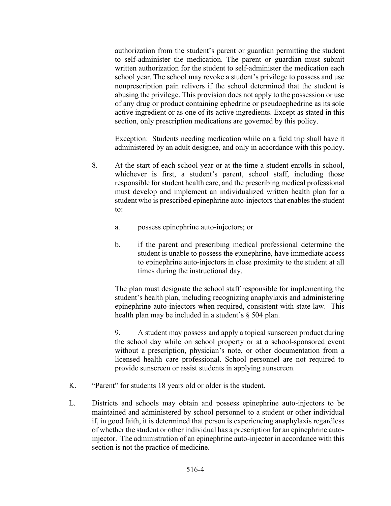authorization from the student's parent or guardian permitting the student to self-administer the medication. The parent or guardian must submit written authorization for the student to self-administer the medication each school year. The school may revoke a student's privilege to possess and use nonprescription pain relivers if the school determined that the student is abusing the privilege. This provision does not apply to the possession or use of any drug or product containing ephedrine or pseudoephedrine as its sole active ingredient or as one of its active ingredients. Except as stated in this section, only prescription medications are governed by this policy.

 Exception: Students needing medication while on a field trip shall have it administered by an adult designee, and only in accordance with this policy.

- 8. At the start of each school year or at the time a student enrolls in school, whichever is first, a student's parent, school staff, including those responsible for student health care, and the prescribing medical professional must develop and implement an individualized written health plan for a student who is prescribed epinephrine auto-injectors that enables the student to:
	- a. possess epinephrine auto-injectors; or
	- b. if the parent and prescribing medical professional determine the student is unable to possess the epinephrine, have immediate access to epinephrine auto-injectors in close proximity to the student at all times during the instructional day.

The plan must designate the school staff responsible for implementing the student's health plan, including recognizing anaphylaxis and administering epinephrine auto-injectors when required, consistent with state law. This health plan may be included in a student's § 504 plan.

9. A student may possess and apply a topical sunscreen product during the school day while on school property or at a school-sponsored event without a prescription, physician's note, or other documentation from a licensed health care professional. School personnel are not required to provide sunscreen or assist students in applying aunscreen.

- K. "Parent" for students 18 years old or older is the student.
- L. Districts and schools may obtain and possess epinephrine auto-injectors to be maintained and administered by school personnel to a student or other individual if, in good faith, it is determined that person is experiencing anaphylaxis regardless of whether the student or other individual has a prescription for an epinephrine autoinjector. The administration of an epinephrine auto-injector in accordance with this section is not the practice of medicine.